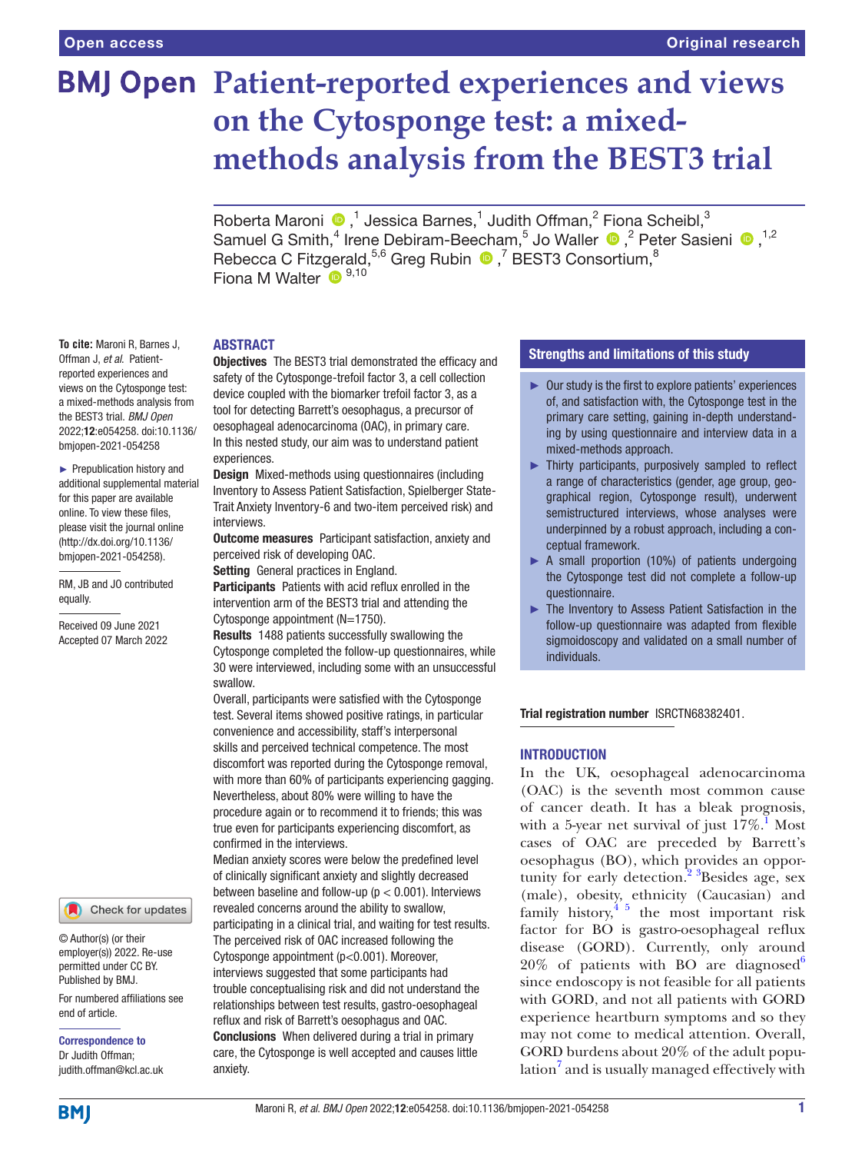# **BMJ Open Patient-reported experiences and views on the Cytosponge test: a mixedmethods analysis from the BEST3 trial**

RobertaMaroni  $\bigcirc$ ,<sup>1</sup> Jessica Barnes,<sup>1</sup> Judith Offman,<sup>2</sup> Fiona Scheibl,<sup>3</sup> SamuelG Smith,<sup>4</sup> Irene Debiram-Beecham,<sup>5</sup> Jo Waller  $\bigcirc$ ,<sup>2</sup> Peter Sasieni  $\bigcirc$ ,<sup>1,2</sup> Rebecca C Fitzgerald,  $5,6$  Greg Rubin  $\bigcirc$ ,  $\overline{ }$  BEST3 Consortium,  $\overline{ }$ Fiona M Walter <sup>D</sup><sup>9,10</sup>

## ABSTRACT

**Objectives** The BEST3 trial demonstrated the efficacy and safety of the Cytosponge-trefoil factor 3, a cell collection device coupled with the biomarker trefoil factor 3, as a tool for detecting Barrett's oesophagus, a precursor of oesophageal adenocarcinoma (OAC), in primary care. In this nested study, our aim was to understand patient experiences.

Design Mixed-methods using questionnaires (including Inventory to Assess Patient Satisfaction, Spielberger State-Trait Anxiety Inventory-6 and two-item perceived risk) and interviews.

**Outcome measures** Participant satisfaction, anxiety and perceived risk of developing OAC.

Setting General practices in England.

Participants Patients with acid reflux enrolled in the intervention arm of the BEST3 trial and attending the Cytosponge appointment (N=1750).

Results 1488 patients successfully swallowing the Cytosponge completed the follow-up questionnaires, while 30 were interviewed, including some with an unsuccessful swallow.

Overall, participants were satisfied with the Cytosponge test. Several items showed positive ratings, in particular convenience and accessibility, staff's interpersonal skills and perceived technical competence. The most discomfort was reported during the Cytosponge removal, with more than 60% of participants experiencing gagging. Nevertheless, about 80% were willing to have the procedure again or to recommend it to friends; this was true even for participants experiencing discomfort, as confirmed in the interviews.

Median anxiety scores were below the predefined level of clinically significant anxiety and slightly decreased between baseline and follow-up ( $p < 0.001$ ). Interviews revealed concerns around the ability to swallow, participating in a clinical trial, and waiting for test results. The perceived risk of OAC increased following the Cytosponge appointment (p<0.001). Moreover, interviews suggested that some participants had trouble conceptualising risk and did not understand the relationships between test results, gastro-oesophageal reflux and risk of Barrett's oesophagus and OAC. Conclusions When delivered during a trial in primary care, the Cytosponge is well accepted and causes little anxiety.

## Strengths and limitations of this study

- ► Our study is the first to explore patients' experiences of, and satisfaction with, the Cytosponge test in the primary care setting, gaining in-depth understanding by using questionnaire and interview data in a mixed-methods approach.
- ► Thirty participants, purposively sampled to reflect a range of characteristics (gender, age group, geographical region, Cytosponge result), underwent semistructured interviews, whose analyses were underpinned by a robust approach, including a conceptual framework.
- ► A small proportion (10%) of patients undergoing the Cytosponge test did not complete a follow-up questionnaire.
- ► The Inventory to Assess Patient Satisfaction in the follow-up questionnaire was adapted from flexible sigmoidoscopy and validated on a small number of individuals.

Trial registration number [ISRCTN68382401.](ISRCTN68382401)

## **INTRODUCTION**

In the UK, oesophageal adenocarcinoma (OAC) is the seventh most common cause of cancer death. It has a bleak prognosis, with a 5-year net survival of just  $17\%$  $17\%$ .<sup>1</sup> Most cases of OAC are preceded by Barrett's oesophagus (BO), which provides an opportunity for early detection.<sup>2</sup>  ${}^{3}$ Besides age, sex (male), obesity, ethnicity (Caucasian) and family history, $45$  the most important risk factor for BO is gastro-oesophageal reflux disease (GORD). Currently, only around  $20\%$  of patients with BO are diagnosed<sup>6</sup> since endoscopy is not feasible for all patients with GORD, and not all patients with GORD experience heartburn symptoms and so they may not come to medical attention. Overall, GORD burdens about 20% of the adult popu-lation<sup>[7](#page-11-1)</sup> and is usually managed effectively with

**To cite:** Maroni R, Barnes J, Offman J, *et al*. Patientreported experiences and views on the Cytosponge test: a mixed-methods analysis from the BEST3 trial. *BMJ Open* 2022;12:e054258. doi:10.1136/ bmjopen-2021-054258

► Prepublication history and additional supplemental material for this paper are available online. To view these files, please visit the journal online [\(http://dx.doi.org/10.1136/](http://dx.doi.org/10.1136/bmjopen-2021-054258) [bmjopen-2021-054258](http://dx.doi.org/10.1136/bmjopen-2021-054258)).

RM, JB and JO contributed equally.

Received 09 June 2021 Accepted 07 March 2022



© Author(s) (or their employer(s)) 2022. Re-use permitted under CC BY. Published by BMJ.

For numbered affiliations see end of article.

Correspondence to Dr Judith Offman; judith.offman@kcl.ac.uk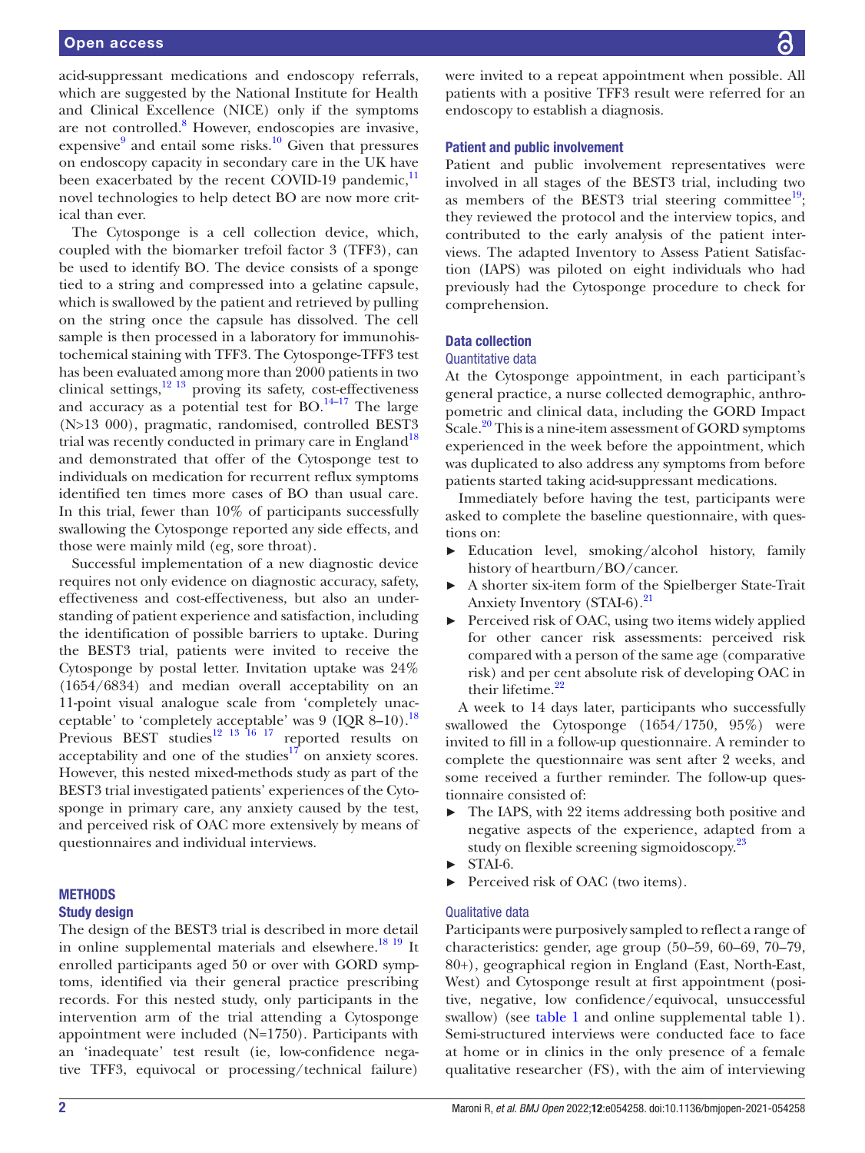acid-suppressant medications and endoscopy referrals, which are suggested by the National Institute for Health and Clinical Excellence (NICE) only if the symptoms are not controlled.<sup>8</sup> However, endoscopies are invasive, expensive<sup>[9](#page-11-3)</sup> and entail some risks.<sup>10</sup> Given that pressures on endoscopy capacity in secondary care in the UK have been exacerbated by the recent COVID-19 pandemic, $<sup>11</sup>$  $<sup>11</sup>$  $<sup>11</sup>$ </sup> novel technologies to help detect BO are now more critical than ever.

The Cytosponge is a cell collection device, which, coupled with the biomarker trefoil factor 3 (TFF3), can be used to identify BO. The device consists of a sponge tied to a string and compressed into a gelatine capsule, which is swallowed by the patient and retrieved by pulling on the string once the capsule has dissolved. The cell sample is then processed in a laboratory for immunohistochemical staining with TFF3. The Cytosponge-TFF3 test has been evaluated among more than 2000 patients in two clinical settings, $12^{13}$  proving its safety, cost-effectiveness and accuracy as a potential test for  $BO$ <sup>[14–17](#page-11-7)</sup> The large (N>13 000), pragmatic, randomised, controlled BEST3 trial was recently conducted in primary care in England<sup>18</sup> and demonstrated that offer of the Cytosponge test to individuals on medication for recurrent reflux symptoms identified ten times more cases of BO than usual care. In this trial, fewer than 10% of participants successfully swallowing the Cytosponge reported any side effects, and those were mainly mild (eg, sore throat).

Successful implementation of a new diagnostic device requires not only evidence on diagnostic accuracy, safety, effectiveness and cost-effectiveness, but also an understanding of patient experience and satisfaction, including the identification of possible barriers to uptake. During the BEST3 trial, patients were invited to receive the Cytosponge by postal letter. Invitation uptake was 24% (1654/6834) and median overall acceptability on an 11-point visual analogue scale from 'completely unacceptable' to 'completely acceptable' was  $9 \text{ (IQR } 8-10)$ .<sup>18</sup> Previous BEST studies<sup>12 13</sup> <sup>16</sup> <sup>17</sup> reported results on acceptability and one of the studies $17$  on anxiety scores. However, this nested mixed-methods study as part of the BEST3 trial investigated patients' experiences of the Cytosponge in primary care, any anxiety caused by the test, and perceived risk of OAC more extensively by means of questionnaires and individual interviews.

## METHODS

#### Study design

The design of the BEST3 trial is described in more detail in [online supplemental materials](https://dx.doi.org/10.1136/bmjopen-2021-054258) and elsewhere.<sup>18 19</sup> It enrolled participants aged 50 or over with GORD symptoms, identified via their general practice prescribing records. For this nested study, only participants in the intervention arm of the trial attending a Cytosponge appointment were included (N=1750). Participants with an 'inadequate' test result (ie, low-confidence negative TFF3, equivocal or processing/technical failure)

were invited to a repeat appointment when possible. All patients with a positive TFF3 result were referred for an endoscopy to establish a diagnosis.

### Patient and public involvement

Patient and public involvement representatives were involved in all stages of the BEST3 trial, including two as members of the BEST3 trial steering committee<sup>19</sup>; they reviewed the protocol and the interview topics, and contributed to the early analysis of the patient interviews. The adapted Inventory to Assess Patient Satisfaction (IAPS) was piloted on eight individuals who had previously had the Cytosponge procedure to check for comprehension.

#### Data collection

#### Quantitative data

At the Cytosponge appointment, in each participant's general practice, a nurse collected demographic, anthropometric and clinical data, including the GORD Impact Scale.<sup>20</sup> This is a nine-item assessment of GORD symptoms experienced in the week before the appointment, which was duplicated to also address any symptoms from before patients started taking acid-suppressant medications.

Immediately before having the test, participants were asked to complete the baseline questionnaire, with questions on:

- Education level, smoking/alcohol history, family history of heartburn/BO/cancer.
- ► A shorter six-item form of the Spielberger State-Trait Anxiety Inventory (STAI-6).<sup>21</sup>
- ► Perceived risk of OAC, using two items widely applied for other cancer risk assessments: perceived risk compared with a person of the same age (comparative risk) and per cent absolute risk of developing OAC in their lifetime.<sup>[22](#page-11-13)</sup>

A week to 14 days later, participants who successfully swallowed the Cytosponge (1654/1750, 95%) were invited to fill in a follow-up questionnaire. A reminder to complete the questionnaire was sent after 2 weeks, and some received a further reminder. The follow-up questionnaire consisted of:

- ► The IAPS, with 22 items addressing both positive and negative aspects of the experience, adapted from a study on flexible screening sigmoidoscopy.<sup>[23](#page-11-14)</sup>
- STAI-6.
- ► Perceived risk of OAC (two items).

## Qualitative data

Participants were purposively sampled to reflect a range of characteristics: gender, age group (50–59, 60–69, 70–79, 80+), geographical region in England (East, North-East, West) and Cytosponge result at first appointment (positive, negative, low confidence/equivocal, unsuccessful swallow) (see [table](#page-2-0) 1 and [online supplemental table 1\)](https://dx.doi.org/10.1136/bmjopen-2021-054258). Semi-structured interviews were conducted face to face at home or in clinics in the only presence of a female qualitative researcher (FS), with the aim of interviewing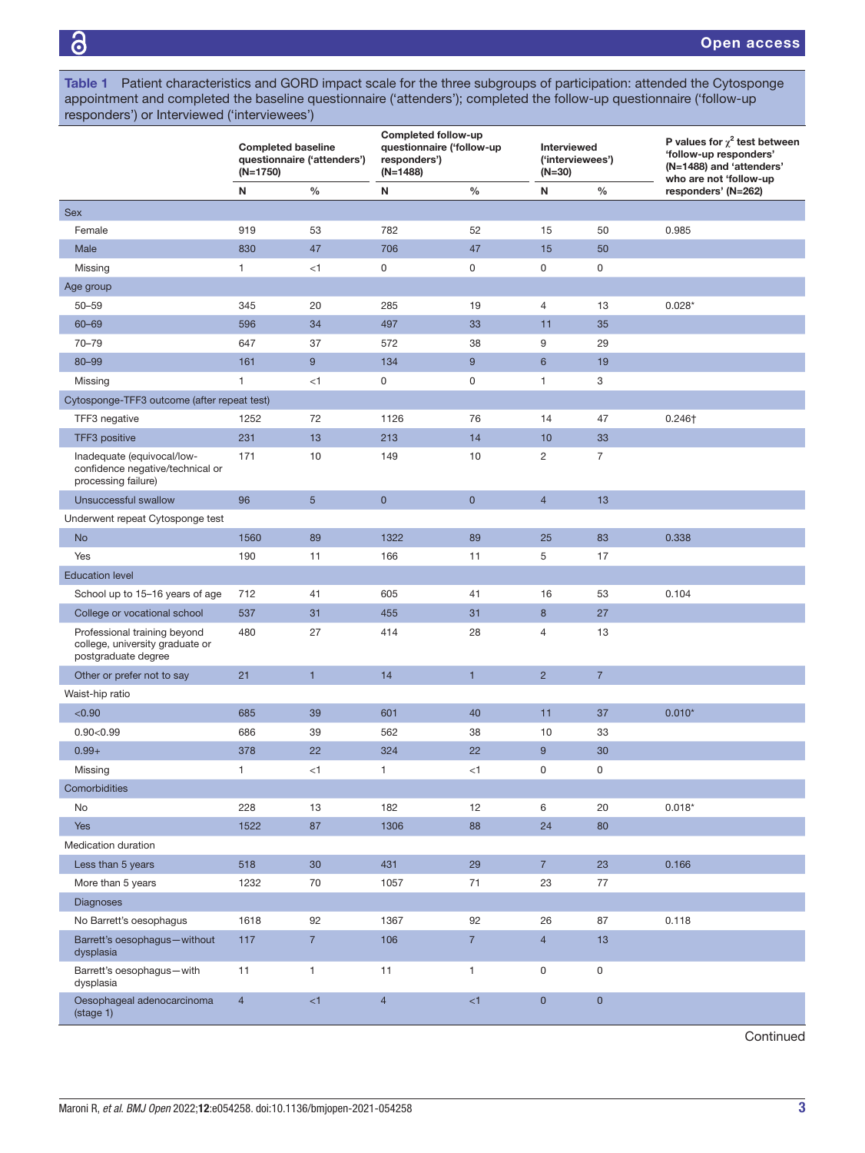<span id="page-2-0"></span>Table 1 Patient characteristics and GORD impact scale for the three subgroups of participation: attended the Cytosponge appointment and completed the baseline questionnaire ('attenders'); completed the follow-up questionnaire ('follow-up responders') or Interviewed ('interviewees')

|                                                                                        | <b>Completed baseline</b><br>questionnaire ('attenders')<br>$(N=1750)$ |                | Completed follow-up<br>questionnaire ('follow-up<br>responders')<br>$(N=1488)$ |                | Interviewed<br>('interviewees')<br>$(N=30)$ |                | P values for $\chi^2$ test between<br>'follow-up responders'<br>(N=1488) and 'attenders'<br>who are not 'follow-up |  |
|----------------------------------------------------------------------------------------|------------------------------------------------------------------------|----------------|--------------------------------------------------------------------------------|----------------|---------------------------------------------|----------------|--------------------------------------------------------------------------------------------------------------------|--|
|                                                                                        | N                                                                      | $\%$           | N                                                                              | $\%$           | N                                           | $\frac{0}{0}$  | responders' (N=262)                                                                                                |  |
| <b>Sex</b>                                                                             |                                                                        |                |                                                                                |                |                                             |                |                                                                                                                    |  |
| Female                                                                                 | 919                                                                    | 53             | 782                                                                            | 52             | 15                                          | 50             | 0.985                                                                                                              |  |
| Male                                                                                   | 830                                                                    | 47             | 706                                                                            | 47             | 15                                          | 50             |                                                                                                                    |  |
| Missing                                                                                | $\mathbf{1}$                                                           | < 1            | $\mathsf 0$                                                                    | $\mathsf 0$    | 0                                           | 0              |                                                                                                                    |  |
| Age group                                                                              |                                                                        |                |                                                                                |                |                                             |                |                                                                                                                    |  |
| $50 - 59$                                                                              | 345                                                                    | 20             | 285                                                                            | 19             | $\sqrt{4}$                                  | 13             | $0.028*$                                                                                                           |  |
| $60 - 69$                                                                              | 596                                                                    | 34             | 497                                                                            | 33             | 11                                          | 35             |                                                                                                                    |  |
| $70 - 79$                                                                              | 647                                                                    | 37             | 572                                                                            | 38             | 9                                           | 29             |                                                                                                                    |  |
| 80-99                                                                                  | 161                                                                    | 9              | 134                                                                            | 9              | $6\phantom{1}$                              | 19             |                                                                                                                    |  |
| Missing                                                                                | 1                                                                      | < 1            | $\mathsf 0$                                                                    | $\mathsf 0$    | $\mathbf{1}$                                | 3              |                                                                                                                    |  |
| Cytosponge-TFF3 outcome (after repeat test)                                            |                                                                        |                |                                                                                |                |                                             |                |                                                                                                                    |  |
| TFF3 negative                                                                          | 1252                                                                   | 72             | 1126                                                                           | 76             | 14                                          | 47             | $0.246+$                                                                                                           |  |
| TFF3 positive                                                                          | 231                                                                    | 13             | 213                                                                            | 14             | 10                                          | 33             |                                                                                                                    |  |
| Inadequate (equivocal/low-<br>confidence negative/technical or<br>processing failure)  | 171                                                                    | 10             | 149                                                                            | 10             | $\overline{c}$                              | 7              |                                                                                                                    |  |
| Unsuccessful swallow                                                                   | 96                                                                     | $\overline{5}$ | $\mathbf 0$                                                                    | $\mathbf 0$    | $\overline{4}$                              | 13             |                                                                                                                    |  |
| Underwent repeat Cytosponge test                                                       |                                                                        |                |                                                                                |                |                                             |                |                                                                                                                    |  |
| <b>No</b>                                                                              | 1560                                                                   | 89             | 1322                                                                           | 89             | 25                                          | 83             | 0.338                                                                                                              |  |
| Yes                                                                                    | 190                                                                    | 11             | 166                                                                            | 11             | 5                                           | 17             |                                                                                                                    |  |
| <b>Education level</b>                                                                 |                                                                        |                |                                                                                |                |                                             |                |                                                                                                                    |  |
| School up to 15-16 years of age                                                        | 712                                                                    | 41             | 605                                                                            | 41             | 16                                          | 53             | 0.104                                                                                                              |  |
| College or vocational school                                                           | 537                                                                    | 31             | 455                                                                            | 31             | 8                                           | 27             |                                                                                                                    |  |
| Professional training beyond<br>college, university graduate or<br>postgraduate degree | 480                                                                    | 27             | 414                                                                            | 28             | $\overline{4}$                              | 13             |                                                                                                                    |  |
| Other or prefer not to say                                                             | 21                                                                     | $\mathbf{1}$   | 14                                                                             | $\mathbf{1}$   | $\overline{2}$                              | $\overline{7}$ |                                                                                                                    |  |
| Waist-hip ratio                                                                        |                                                                        |                |                                                                                |                |                                             |                |                                                                                                                    |  |
| < 0.90                                                                                 | 685                                                                    | 39             | 601                                                                            | 40             | 11                                          | 37             | $0.010*$                                                                                                           |  |
| 0.90<0.99                                                                              | 686                                                                    | 39             | 562                                                                            | 38             | 10                                          | 33             |                                                                                                                    |  |
| $0.99 +$                                                                               | 378                                                                    | 22             | 324                                                                            | 22             | $9\,$                                       | 30             |                                                                                                                    |  |
| Missing                                                                                | 1                                                                      | $<$ 1          | 1                                                                              | $<$ 1          | 0                                           | $\mathsf 0$    |                                                                                                                    |  |
| Comorbidities                                                                          |                                                                        |                |                                                                                |                |                                             |                |                                                                                                                    |  |
| No                                                                                     | 228                                                                    | 13             | 182                                                                            | 12             | 6                                           | 20             | $0.018*$                                                                                                           |  |
| <b>Yes</b>                                                                             | 1522                                                                   | 87             | 1306                                                                           | 88             | 24                                          | 80             |                                                                                                                    |  |
| Medication duration                                                                    |                                                                        |                |                                                                                |                |                                             |                |                                                                                                                    |  |
| Less than 5 years                                                                      | 518                                                                    | 30             | 431                                                                            | 29             | 7 <sup>7</sup>                              | 23             | 0.166                                                                                                              |  |
| More than 5 years                                                                      | 1232                                                                   | 70             | 1057                                                                           | 71             | 23                                          | 77             |                                                                                                                    |  |
| <b>Diagnoses</b>                                                                       |                                                                        |                |                                                                                |                |                                             |                |                                                                                                                    |  |
| No Barrett's oesophagus                                                                | 1618                                                                   | 92             | 1367                                                                           | 92             | 26                                          | 87             | 0.118                                                                                                              |  |
| Barrett's oesophagus-without<br>dysplasia                                              | 117                                                                    | $\overline{7}$ | 106                                                                            | $\overline{7}$ | $\overline{4}$                              | 13             |                                                                                                                    |  |
| Barrett's oesophagus-with<br>dysplasia                                                 | 11                                                                     | 1              | 11                                                                             | 1              | 0                                           | 0              |                                                                                                                    |  |
| Oesophageal adenocarcinoma<br>(stage 1)                                                | $\overline{4}$                                                         | <1             | $\overline{4}$                                                                 | $\leq 1$       | $\mathbf 0$                                 | $\overline{0}$ |                                                                                                                    |  |

**Continued**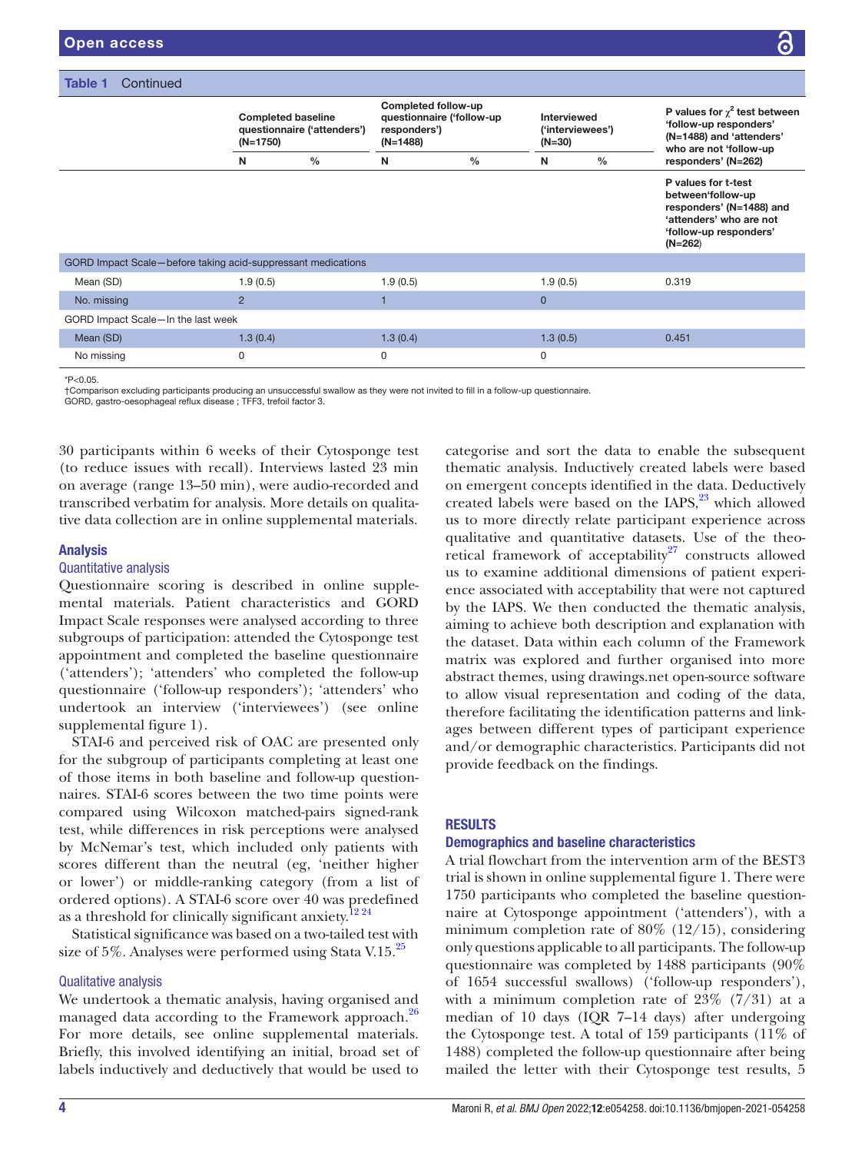| <b>Table 1</b><br>Continued                                  |                                                                      |               |                                                                                |               |                                             |               |                                                                                                                                        |  |
|--------------------------------------------------------------|----------------------------------------------------------------------|---------------|--------------------------------------------------------------------------------|---------------|---------------------------------------------|---------------|----------------------------------------------------------------------------------------------------------------------------------------|--|
|                                                              | <b>Completed baseline</b><br>questionnaire ('attenders')<br>(N=1750) |               | Completed follow-up<br>questionnaire ('follow-up<br>responders')<br>$(N=1488)$ |               | Interviewed<br>('interviewees')<br>$(N=30)$ |               | P values for $\chi^2$ test between<br>'follow-up responders'<br>(N=1488) and 'attenders'<br>who are not 'follow-up                     |  |
|                                                              | N                                                                    | $\frac{0}{0}$ | N                                                                              | $\frac{0}{0}$ | N                                           | $\frac{0}{0}$ | responders' (N=262)                                                                                                                    |  |
|                                                              |                                                                      |               |                                                                                |               |                                             |               | P values for t-test<br>between'follow-up<br>responders' (N=1488) and<br>'attenders' who are not<br>'follow-up responders'<br>$(N=262)$ |  |
| GORD Impact Scale-before taking acid-suppressant medications |                                                                      |               |                                                                                |               |                                             |               |                                                                                                                                        |  |
| Mean (SD)                                                    | 1.9(0.5)                                                             |               | 1.9(0.5)                                                                       |               | 1.9(0.5)                                    |               | 0.319                                                                                                                                  |  |
| No. missing                                                  | $\overline{2}$                                                       |               |                                                                                |               | $\mathbf{0}$                                |               |                                                                                                                                        |  |
| GORD Impact Scale-In the last week                           |                                                                      |               |                                                                                |               |                                             |               |                                                                                                                                        |  |
| Mean (SD)                                                    | 1.3(0.4)                                                             |               | 1.3(0.4)                                                                       |               | 1.3(0.5)                                    |               | 0.451                                                                                                                                  |  |
| No missing                                                   | 0                                                                    |               | $\mathbf 0$                                                                    |               | 0                                           |               |                                                                                                                                        |  |
| $*P<0.05$ .                                                  |                                                                      |               |                                                                                |               |                                             |               |                                                                                                                                        |  |

†Comparison excluding participants producing an unsuccessful swallow as they were not invited to fill in a follow-up questionnaire. GORD, gastro-oesophageal reflux disease ; TFF3, trefoil factor 3.

30 participants within 6 weeks of their Cytosponge test (to reduce issues with recall). Interviews lasted 23 min on average (range 13–50 min), were audio-recorded and transcribed verbatim for analysis. More details on qualitative data collection are in [online supplemental materials](https://dx.doi.org/10.1136/bmjopen-2021-054258).

# Analysis

## Quantitative analysis

Questionnaire scoring is described in [online supple](https://dx.doi.org/10.1136/bmjopen-2021-054258)[mental materials.](https://dx.doi.org/10.1136/bmjopen-2021-054258) Patient characteristics and GORD Impact Scale responses were analysed according to three subgroups of participation: attended the Cytosponge test appointment and completed the baseline questionnaire ('attenders'); 'attenders' who completed the follow-up questionnaire ('follow-up responders'); 'attenders' who undertook an interview ('interviewees') (see [online](https://dx.doi.org/10.1136/bmjopen-2021-054258) [supplemental figure 1](https://dx.doi.org/10.1136/bmjopen-2021-054258)).

STAI-6 and perceived risk of OAC are presented only for the subgroup of participants completing at least one of those items in both baseline and follow-up questionnaires. STAI-6 scores between the two time points were compared using Wilcoxon matched-pairs signed-rank test, while differences in risk perceptions were analysed by McNemar's test, which included only patients with scores different than the neutral (eg, 'neither higher or lower') or middle-ranking category (from a list of ordered options). A STAI-6 score over 40 was predefined as a threshold for clinically significant anxiety.<sup>1224</sup>

Statistical significance was based on a two-tailed test with size of 5%. Analyses were performed using Stata V.15. $^{25}$  $^{25}$  $^{25}$ 

## Qualitative analysis

We undertook a thematic analysis, having organised and managed data according to the Framework approach.<sup>26</sup> For more details, see [online supplemental materials.](https://dx.doi.org/10.1136/bmjopen-2021-054258) Briefly, this involved identifying an initial, broad set of labels inductively and deductively that would be used to

categorise and sort the data to enable the subsequent thematic analysis. Inductively created labels were based on emergent concepts identified in the data. Deductively created labels were based on the IAPS, $^{23}$  which allowed us to more directly relate participant experience across qualitative and quantitative datasets. Use of the theoretical framework of acceptability<sup>27</sup> constructs allowed us to examine additional dimensions of patient experience associated with acceptability that were not captured by the IAPS. We then conducted the thematic analysis, aiming to achieve both description and explanation with the dataset. Data within each column of the Framework matrix was explored and further organised into more abstract themes, using drawings.net open-source software to allow visual representation and coding of the data, therefore facilitating the identification patterns and linkages between different types of participant experience and/or demographic characteristics. Participants did not provide feedback on the findings.

# **RESULTS**

# Demographics and baseline characteristics

A trial flowchart from the intervention arm of the BEST3 trial is shown in [online supplemental figure 1.](https://dx.doi.org/10.1136/bmjopen-2021-054258) There were 1750 participants who completed the baseline questionnaire at Cytosponge appointment ('attenders'), with a minimum completion rate of  $80\%$  (12/15), considering only questions applicable to all participants. The follow-up questionnaire was completed by 1488 participants (90% of 1654 successful swallows) ('follow-up responders'), with a minimum completion rate of  $23\%$  (7/31) at a median of 10 days (IQR 7–14 days) after undergoing the Cytosponge test. A total of 159 participants (11% of 1488) completed the follow-up questionnaire after being mailed the letter with their Cytosponge test results, 5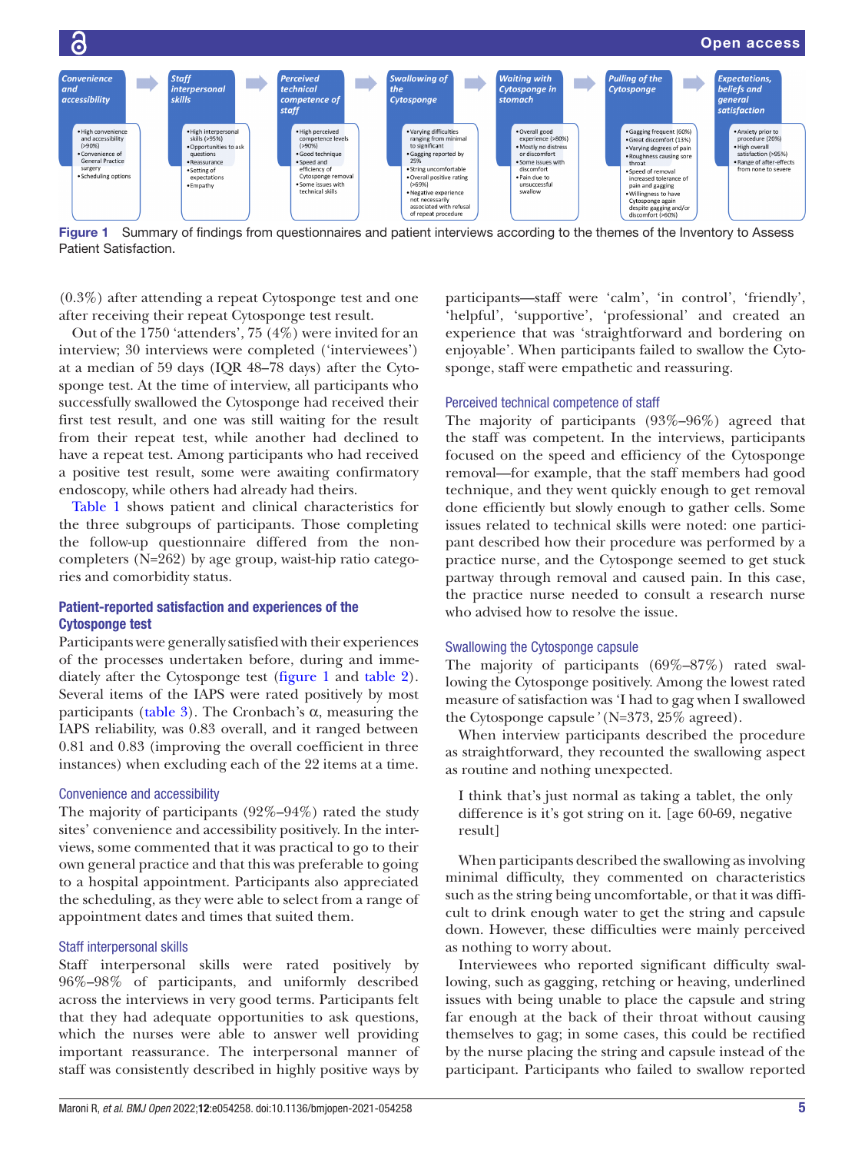

<span id="page-4-0"></span>Figure 1 Summary of findings from questionnaires and patient interviews according to the themes of the Inventory to Assess Patient Satisfaction.

(0.3%) after attending a repeat Cytosponge test and one after receiving their repeat Cytosponge test result.

Out of the 1750 'attenders', 75 (4%) were invited for an interview; 30 interviews were completed ('interviewees') at a median of 59 days (IQR 48–78 days) after the Cytosponge test. At the time of interview, all participants who successfully swallowed the Cytosponge had received their first test result, and one was still waiting for the result from their repeat test, while another had declined to have a repeat test. Among participants who had received a positive test result, some were awaiting confirmatory endoscopy, while others had already had theirs.

[Table](#page-2-0) 1 shows patient and clinical characteristics for the three subgroups of participants. Those completing the follow-up questionnaire differed from the noncompleters (N=262) by age group, waist-hip ratio categories and comorbidity status.

# Patient-reported satisfaction and experiences of the Cytosponge test

Participants were generally satisfied with their experiences of the processes undertaken before, during and immediately after the Cytosponge test [\(figure](#page-4-0) 1 and [table](#page-5-0) 2). Several items of the IAPS were rated positively by most participants [\(table](#page-6-0) 3). The Cronbach's α, measuring the IAPS reliability, was 0.83 overall, and it ranged between 0.81 and 0.83 (improving the overall coefficient in three instances) when excluding each of the 22 items at a time.

# Convenience and accessibility

The majority of participants (92%–94%) rated the study sites' convenience and accessibility positively. In the interviews, some commented that it was practical to go to their own general practice and that this was preferable to going to a hospital appointment. Participants also appreciated the scheduling, as they were able to select from a range of appointment dates and times that suited them.

## Staff interpersonal skills

Staff interpersonal skills were rated positively by 96%–98% of participants, and uniformly described across the interviews in very good terms. Participants felt that they had adequate opportunities to ask questions, which the nurses were able to answer well providing important reassurance. The interpersonal manner of staff was consistently described in highly positive ways by

participants—staff were 'calm', 'in control', 'friendly', 'helpful', 'supportive', 'professional' and created an experience that was 'straightforward and bordering on enjoyable'. When participants failed to swallow the Cytosponge, staff were empathetic and reassuring.

# Perceived technical competence of staff

The majority of participants (93%–96%) agreed that the staff was competent. In the interviews, participants focused on the speed and efficiency of the Cytosponge removal—for example, that the staff members had good technique, and they went quickly enough to get removal done efficiently but slowly enough to gather cells. Some issues related to technical skills were noted: one participant described how their procedure was performed by a practice nurse, and the Cytosponge seemed to get stuck partway through removal and caused pain. In this case, the practice nurse needed to consult a research nurse who advised how to resolve the issue.

## Swallowing the Cytosponge capsule

The majority of participants (69%–87%) rated swallowing the Cytosponge positively. Among the lowest rated measure of satisfaction was 'I had to gag when I swallowed the Cytosponge capsule*'* (N=373, 25% agreed).

When interview participants described the procedure as straightforward, they recounted the swallowing aspect as routine and nothing unexpected.

I think that's just normal as taking a tablet, the only difference is it's got string on it. [age 60-69, negative result]

When participants described the swallowing as involving minimal difficulty, they commented on characteristics such as the string being uncomfortable, or that it was difficult to drink enough water to get the string and capsule down. However, these difficulties were mainly perceived as nothing to worry about.

Interviewees who reported significant difficulty swallowing, such as gagging, retching or heaving, underlined issues with being unable to place the capsule and string far enough at the back of their throat without causing themselves to gag; in some cases, this could be rectified by the nurse placing the string and capsule instead of the participant. Participants who failed to swallow reported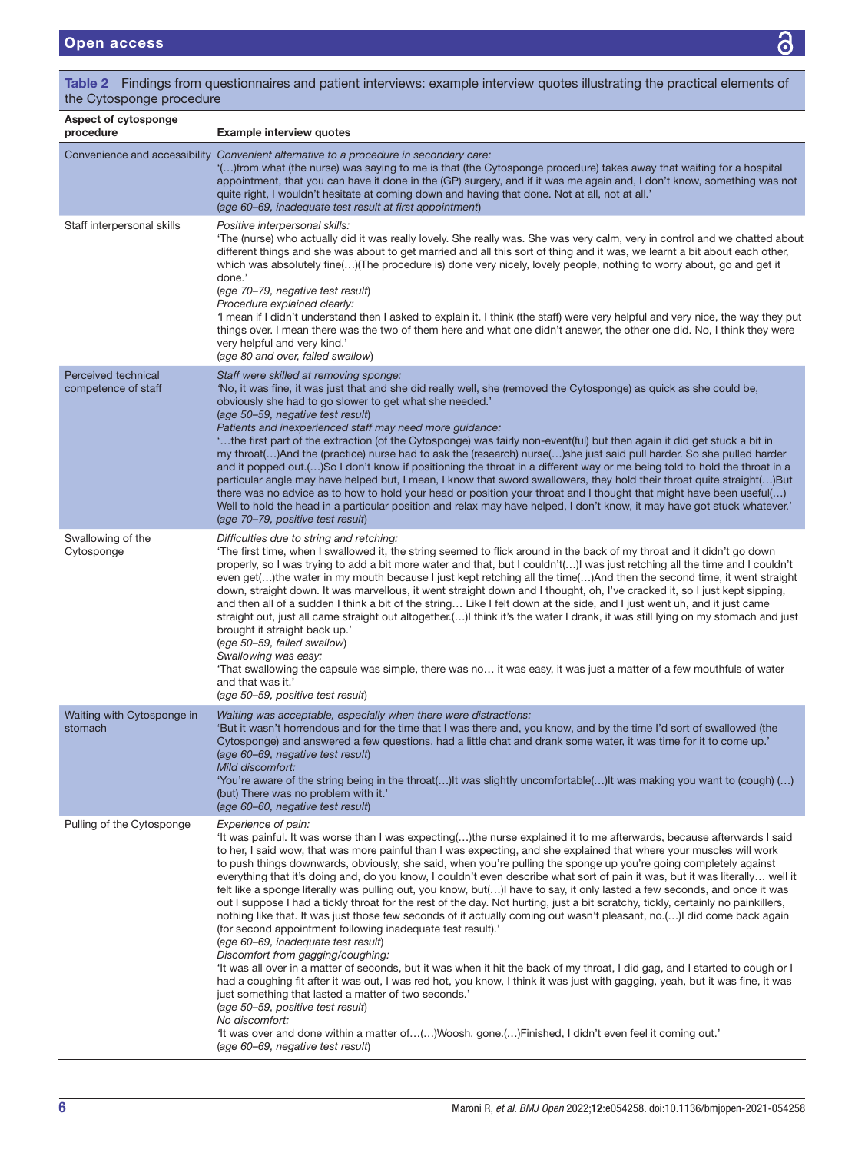| the Cytosponge procedure                   |                                                                                                                                                                                                                                                                                                                                                                                                                                                                                                                                                                                                                                                                                                                                                                                                                                                                                                                                                                                                                                                                                                                                                                                                                                                                                                                                                                                                                                                                                                                                                                                           |  |  |  |  |  |  |
|--------------------------------------------|-------------------------------------------------------------------------------------------------------------------------------------------------------------------------------------------------------------------------------------------------------------------------------------------------------------------------------------------------------------------------------------------------------------------------------------------------------------------------------------------------------------------------------------------------------------------------------------------------------------------------------------------------------------------------------------------------------------------------------------------------------------------------------------------------------------------------------------------------------------------------------------------------------------------------------------------------------------------------------------------------------------------------------------------------------------------------------------------------------------------------------------------------------------------------------------------------------------------------------------------------------------------------------------------------------------------------------------------------------------------------------------------------------------------------------------------------------------------------------------------------------------------------------------------------------------------------------------------|--|--|--|--|--|--|
| Aspect of cytosponge<br>procedure          | <b>Example interview quotes</b>                                                                                                                                                                                                                                                                                                                                                                                                                                                                                                                                                                                                                                                                                                                                                                                                                                                                                                                                                                                                                                                                                                                                                                                                                                                                                                                                                                                                                                                                                                                                                           |  |  |  |  |  |  |
|                                            | Convenience and accessibility Convenient alternative to a procedure in secondary care:<br>"()from what (the nurse) was saying to me is that (the Cytosponge procedure) takes away that waiting for a hospital<br>appointment, that you can have it done in the (GP) surgery, and if it was me again and, I don't know, something was not<br>quite right, I wouldn't hesitate at coming down and having that done. Not at all, not at all.'<br>(age 60–69, inadequate test result at first appointment)                                                                                                                                                                                                                                                                                                                                                                                                                                                                                                                                                                                                                                                                                                                                                                                                                                                                                                                                                                                                                                                                                    |  |  |  |  |  |  |
| Staff interpersonal skills                 | Positive interpersonal skills:<br>'The (nurse) who actually did it was really lovely. She really was. She was very calm, very in control and we chatted about<br>different things and she was about to get married and all this sort of thing and it was, we learnt a bit about each other,<br>which was absolutely fine()(The procedure is) done very nicely, lovely people, nothing to worry about, go and get it<br>done.'<br>(age 70-79, negative test result)<br>Procedure explained clearly:<br>'I mean if I didn't understand then I asked to explain it. I think (the staff) were very helpful and very nice, the way they put<br>things over. I mean there was the two of them here and what one didn't answer, the other one did. No, I think they were<br>very helpful and very kind.'<br>(age 80 and over, failed swallow)                                                                                                                                                                                                                                                                                                                                                                                                                                                                                                                                                                                                                                                                                                                                                    |  |  |  |  |  |  |
| Perceived technical<br>competence of staff | Staff were skilled at removing sponge:<br>'No, it was fine, it was just that and she did really well, she (removed the Cytosponge) as quick as she could be,<br>obviously she had to go slower to get what she needed.'<br>(age 50–59, negative test result)<br>Patients and inexperienced staff may need more guidance:<br>the first part of the extraction (of the Cytosponge) was fairly non-event(ful) but then again it did get stuck a bit in<br>my throat() And the (practice) nurse had to ask the (research) nurse() she just said pull harder. So she pulled harder<br>and it popped out.()So I don't know if positioning the throat in a different way or me being told to hold the throat in a<br>particular angle may have helped but, I mean, I know that sword swallowers, they hold their throat quite straight()But<br>there was no advice as to how to hold your head or position your throat and I thought that might have been useful()<br>Well to hold the head in a particular position and relax may have helped, I don't know, it may have got stuck whatever.'<br>(age 70–79, positive test result)                                                                                                                                                                                                                                                                                                                                                                                                                                                              |  |  |  |  |  |  |
| Swallowing of the<br>Cytosponge            | Difficulties due to string and retching:<br>The first time, when I swallowed it, the string seemed to flick around in the back of my throat and it didn't go down<br>properly, so I was trying to add a bit more water and that, but I couldn't()I was just retching all the time and I couldn't<br>even get()the water in my mouth because I just kept retching all the time()And then the second time, it went straight<br>down, straight down. It was marvellous, it went straight down and I thought, oh, I've cracked it, so I just kept sipping,<br>and then all of a sudden I think a bit of the string Like I felt down at the side, and I just went uh, and it just came<br>straight out, just all came straight out altogether.() think it's the water I drank, it was still lying on my stomach and just<br>brought it straight back up.'<br>(age 50-59, failed swallow)<br>Swallowing was easy:<br>'That swallowing the capsule was simple, there was no it was easy, it was just a matter of a few mouthfuls of water<br>and that was it.'<br>(age 50-59, positive test result)                                                                                                                                                                                                                                                                                                                                                                                                                                                                                              |  |  |  |  |  |  |
| Waiting with Cytosponge in<br>stomach      | Waiting was acceptable, especially when there were distractions:<br>'But it wasn't horrendous and for the time that I was there and, you know, and by the time I'd sort of swallowed (the<br>Cytosponge) and answered a few questions, had a little chat and drank some water, it was time for it to come up.'<br>(age 60–69, negative test result)<br>Mild discomfort:<br>'You're aware of the string being in the throat()It was slightly uncomfortable()It was making you want to (cough) ()<br>(but) There was no problem with it.'<br>(age 60–60, negative test result)                                                                                                                                                                                                                                                                                                                                                                                                                                                                                                                                                                                                                                                                                                                                                                                                                                                                                                                                                                                                              |  |  |  |  |  |  |
| Pulling of the Cytosponge                  | Experience of pain:<br>'It was painful. It was worse than I was expecting()the nurse explained it to me afterwards, because afterwards I said<br>to her, I said wow, that was more painful than I was expecting, and she explained that where your muscles will work<br>to push things downwards, obviously, she said, when you're pulling the sponge up you're going completely against<br>everything that it's doing and, do you know, I couldn't even describe what sort of pain it was, but it was literally well it<br>felt like a sponge literally was pulling out, you know, but() have to say, it only lasted a few seconds, and once it was<br>out I suppose I had a tickly throat for the rest of the day. Not hurting, just a bit scratchy, tickly, certainly no painkillers,<br>nothing like that. It was just those few seconds of it actually coming out wasn't pleasant, no.()I did come back again<br>(for second appointment following inadequate test result).<br>(age 60–69, inadequate test result)<br>Discomfort from gagging/coughing:<br>'It was all over in a matter of seconds, but it was when it hit the back of my throat, I did gag, and I started to cough or I<br>had a coughing fit after it was out, I was red hot, you know, I think it was just with gagging, yeah, but it was fine, it was<br>just something that lasted a matter of two seconds.'<br>(age 50–59, positive test result)<br>No discomfort:<br>'t was over and done within a matter of()Woosh, gone.()Finished, I didn't even feel it coming out.'<br>(age 60–69, negative test result) |  |  |  |  |  |  |

<span id="page-5-0"></span>Table 2 Findings from questionnaires and patient interviews: example interview quotes illustrating the practical elements of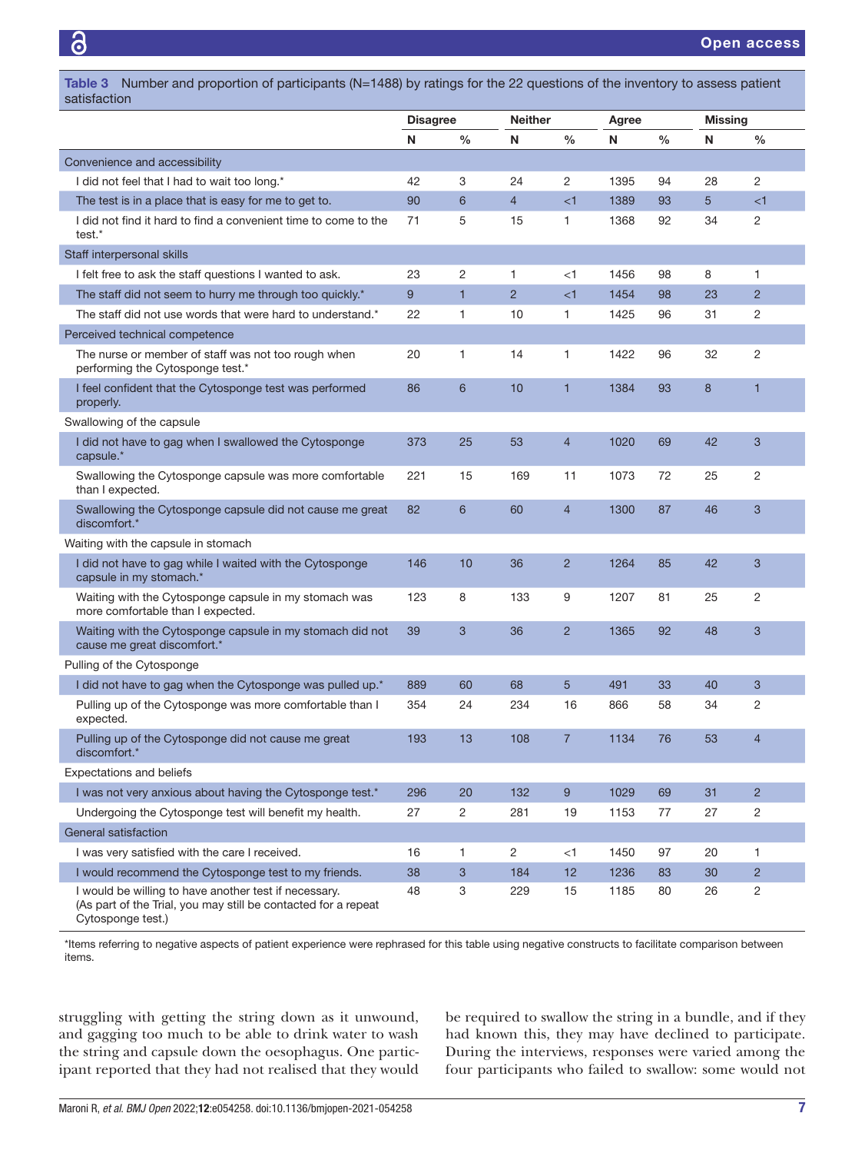<span id="page-6-0"></span>Table 3 Number and proportion of participants (N=1488) by ratings for the 22 questions of the inventory to assess patient satisfaction

|                                                                                                                                              | <b>Disagree</b> |                | <b>Neither</b> |                | Agree |               | <b>Missing</b> |                |
|----------------------------------------------------------------------------------------------------------------------------------------------|-----------------|----------------|----------------|----------------|-------|---------------|----------------|----------------|
|                                                                                                                                              | N               | $\%$           | N              | $\frac{0}{0}$  | N     | $\frac{0}{0}$ | N              | $\%$           |
| Convenience and accessibility                                                                                                                |                 |                |                |                |       |               |                |                |
| I did not feel that I had to wait too long.*                                                                                                 | 42              | 3              | 24             | 2              | 1395  | 94            | 28             | 2              |
| The test is in a place that is easy for me to get to.                                                                                        | 90              | 6              | $\overline{4}$ | $<$ 1          | 1389  | 93            | 5              | $\leq$ 1       |
| I did not find it hard to find a convenient time to come to the<br>test.*                                                                    | 71              | 5              | 15             | 1              | 1368  | 92            | 34             | 2              |
| Staff interpersonal skills                                                                                                                   |                 |                |                |                |       |               |                |                |
| I felt free to ask the staff questions I wanted to ask.                                                                                      | 23              | $\overline{c}$ | 1              | $<$ 1          | 1456  | 98            | 8              | 1              |
| The staff did not seem to hurry me through too quickly.*                                                                                     | 9               | $\mathbf{1}$   | $\overline{2}$ | $<$ 1          | 1454  | 98            | 23             | $\overline{2}$ |
| The staff did not use words that were hard to understand.*                                                                                   | 22              | 1              | 10             | 1              | 1425  | 96            | 31             | 2              |
| Perceived technical competence                                                                                                               |                 |                |                |                |       |               |                |                |
| The nurse or member of staff was not too rough when<br>performing the Cytosponge test.*                                                      | 20              | 1              | 14             | 1              | 1422  | 96            | 32             | 2              |
| I feel confident that the Cytosponge test was performed<br>properly.                                                                         | 86              | 6              | 10             | $\mathbf{1}$   | 1384  | 93            | 8              | $\mathbf{1}$   |
| Swallowing of the capsule                                                                                                                    |                 |                |                |                |       |               |                |                |
| I did not have to gag when I swallowed the Cytosponge<br>capsule.*                                                                           | 373             | 25             | 53             | $\overline{4}$ | 1020  | 69            | 42             | 3              |
| Swallowing the Cytosponge capsule was more comfortable<br>than I expected.                                                                   | 221             | 15             | 169            | 11             | 1073  | 72            | 25             | 2              |
| Swallowing the Cytosponge capsule did not cause me great<br>discomfort.*                                                                     | 82              | $6\phantom{1}$ | 60             | $\overline{4}$ | 1300  | 87            | 46             | 3              |
| Waiting with the capsule in stomach                                                                                                          |                 |                |                |                |       |               |                |                |
| I did not have to gag while I waited with the Cytosponge<br>capsule in my stomach.*                                                          | 146             | 10             | 36             | $\overline{2}$ | 1264  | 85            | 42             | 3              |
| Waiting with the Cytosponge capsule in my stomach was<br>more comfortable than I expected.                                                   | 123             | 8              | 133            | 9              | 1207  | 81            | 25             | 2              |
| Waiting with the Cytosponge capsule in my stomach did not<br>cause me great discomfort.*                                                     | 39              | $\mathbf{3}$   | 36             | $\overline{2}$ | 1365  | 92            | 48             | 3              |
| Pulling of the Cytosponge                                                                                                                    |                 |                |                |                |       |               |                |                |
| I did not have to gag when the Cytosponge was pulled up.*                                                                                    | 889             | 60             | 68             | 5              | 491   | 33            | 40             | 3              |
| Pulling up of the Cytosponge was more comfortable than I<br>expected.                                                                        | 354             | 24             | 234            | 16             | 866   | 58            | 34             | 2              |
| Pulling up of the Cytosponge did not cause me great<br>discomfort.*                                                                          | 193             | 13             | 108            | $\overline{7}$ | 1134  | 76            | 53             | $\overline{4}$ |
| <b>Expectations and beliefs</b>                                                                                                              |                 |                |                |                |       |               |                |                |
| I was not very anxious about having the Cytosponge test.*                                                                                    | 296             | 20             | 132            | 9              | 1029  | 69            | 31             | $\overline{2}$ |
| Undergoing the Cytosponge test will benefit my health.                                                                                       | 27              | $\overline{c}$ | 281            | 19             | 1153  | 77            | 27             | 2              |
| General satisfaction                                                                                                                         |                 |                |                |                |       |               |                |                |
| I was very satisfied with the care I received.                                                                                               | 16              | 1              | 2              | $<$ 1          | 1450  | 97            | 20             | 1              |
| I would recommend the Cytosponge test to my friends.                                                                                         | 38              | $\mathbf{3}$   | 184            | 12             | 1236  | 83            | 30             | $\overline{2}$ |
| I would be willing to have another test if necessary.<br>(As part of the Trial, you may still be contacted for a repeat<br>Cytosponge test.) | 48              | 3              | 229            | 15             | 1185  | 80            | 26             | 2              |

\*Items referring to negative aspects of patient experience were rephrased for this table using negative constructs to facilitate comparison between items.

struggling with getting the string down as it unwound, and gagging too much to be able to drink water to wash the string and capsule down the oesophagus. One participant reported that they had not realised that they would

be required to swallow the string in a bundle, and if they had known this, they may have declined to participate. During the interviews, responses were varied among the four participants who failed to swallow: some would not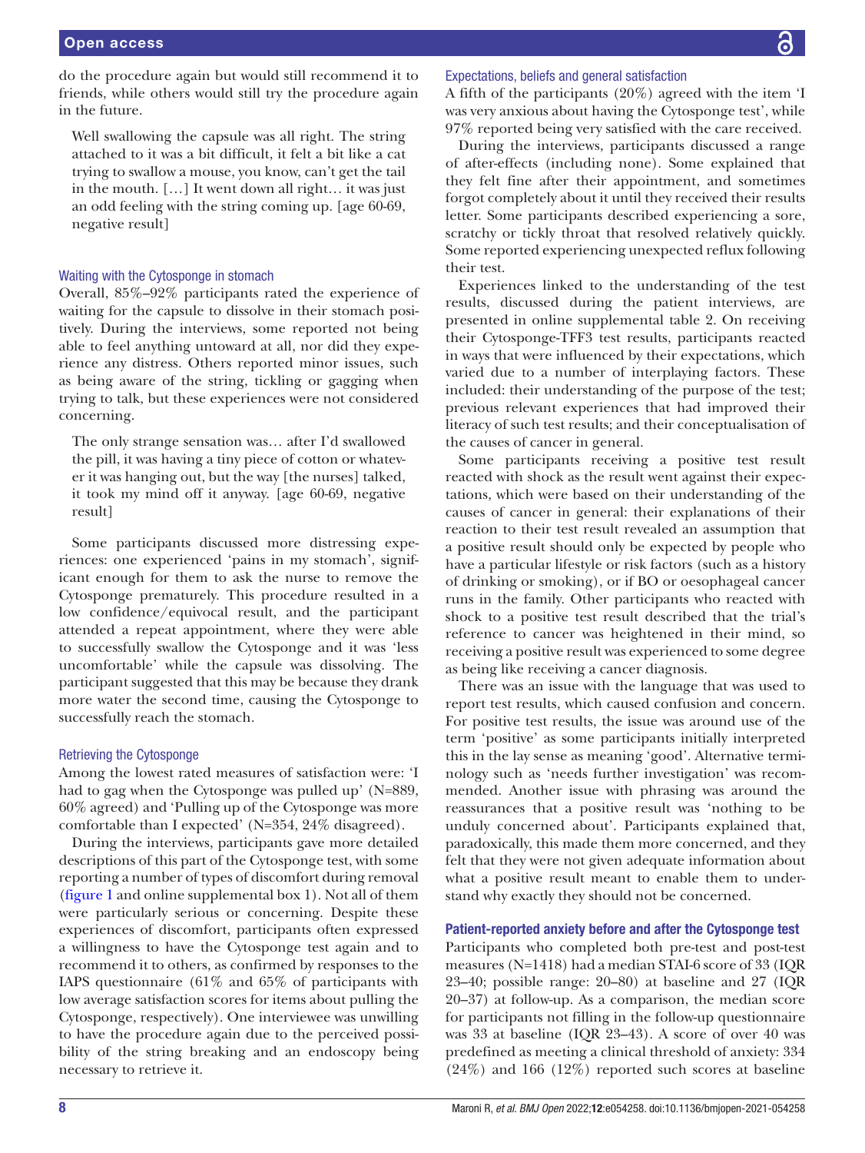do the procedure again but would still recommend it to friends, while others would still try the procedure again in the future.

Well swallowing the capsule was all right. The string attached to it was a bit difficult, it felt a bit like a cat trying to swallow a mouse, you know, can't get the tail in the mouth. […] It went down all right… it was just an odd feeling with the string coming up. [age 60-69, negative result]

#### Waiting with the Cytosponge in stomach

Overall, 85%–92% participants rated the experience of waiting for the capsule to dissolve in their stomach positively. During the interviews, some reported not being able to feel anything untoward at all, nor did they experience any distress. Others reported minor issues, such as being aware of the string, tickling or gagging when trying to talk, but these experiences were not considered concerning.

The only strange sensation was… after I'd swallowed the pill, it was having a tiny piece of cotton or whatever it was hanging out, but the way [the nurses] talked, it took my mind off it anyway. [age 60-69, negative result]

Some participants discussed more distressing experiences: one experienced 'pains in my stomach', significant enough for them to ask the nurse to remove the Cytosponge prematurely. This procedure resulted in a low confidence/equivocal result, and the participant attended a repeat appointment, where they were able to successfully swallow the Cytosponge and it was 'less uncomfortable' while the capsule was dissolving. The participant suggested that this may be because they drank more water the second time, causing the Cytosponge to successfully reach the stomach.

#### Retrieving the Cytosponge

Among the lowest rated measures of satisfaction were: 'I had to gag when the Cytosponge was pulled up' (N=889, 60% agreed) and 'Pulling up of the Cytosponge was more comfortable than I expected' (N=354, 24% disagreed).

During the interviews, participants gave more detailed descriptions of this part of the Cytosponge test, with some reporting a number of types of discomfort during removal ([figure](#page-4-0) 1 and [online supplemental box 1](https://dx.doi.org/10.1136/bmjopen-2021-054258)). Not all of them were particularly serious or concerning. Despite these experiences of discomfort, participants often expressed a willingness to have the Cytosponge test again and to recommend it to others, as confirmed by responses to the IAPS questionnaire (61% and 65% of participants with low average satisfaction scores for items about pulling the Cytosponge, respectively). One interviewee was unwilling to have the procedure again due to the perceived possibility of the string breaking and an endoscopy being necessary to retrieve it.

## Expectations, beliefs and general satisfaction

A fifth of the participants (20%) agreed with the item 'I was very anxious about having the Cytosponge test', while 97% reported being very satisfied with the care received.

During the interviews, participants discussed a range of after-effects (including none). Some explained that they felt fine after their appointment, and sometimes forgot completely about it until they received their results letter. Some participants described experiencing a sore, scratchy or tickly throat that resolved relatively quickly. Some reported experiencing unexpected reflux following their test.

Experiences linked to the understanding of the test results, discussed during the patient interviews, are presented in [online supplemental table 2](https://dx.doi.org/10.1136/bmjopen-2021-054258). On receiving their Cytosponge-TFF3 test results, participants reacted in ways that were influenced by their expectations, which varied due to a number of interplaying factors. These included: their understanding of the purpose of the test; previous relevant experiences that had improved their literacy of such test results; and their conceptualisation of the causes of cancer in general.

Some participants receiving a positive test result reacted with shock as the result went against their expectations, which were based on their understanding of the causes of cancer in general: their explanations of their reaction to their test result revealed an assumption that a positive result should only be expected by people who have a particular lifestyle or risk factors (such as a history of drinking or smoking), or if BO or oesophageal cancer runs in the family. Other participants who reacted with shock to a positive test result described that the trial's reference to cancer was heightened in their mind, so receiving a positive result was experienced to some degree as being like receiving a cancer diagnosis.

There was an issue with the language that was used to report test results, which caused confusion and concern. For positive test results, the issue was around use of the term 'positive' as some participants initially interpreted this in the lay sense as meaning 'good'. Alternative terminology such as 'needs further investigation' was recommended. Another issue with phrasing was around the reassurances that a positive result was 'nothing to be unduly concerned about'. Participants explained that, paradoxically, this made them more concerned, and they felt that they were not given adequate information about what a positive result meant to enable them to understand why exactly they should not be concerned.

## Patient-reported anxiety before and after the Cytosponge test

Participants who completed both pre-test and post-test measures (N=1418) had a median STAI-6 score of 33 (IQR 23–40; possible range: 20–80) at baseline and 27 (IQR 20–37) at follow-up. As a comparison, the median score for participants not filling in the follow-up questionnaire was 33 at baseline (IQR 23–43). A score of over 40 was predefined as meeting a clinical threshold of anxiety: 334 (24%) and 166 (12%) reported such scores at baseline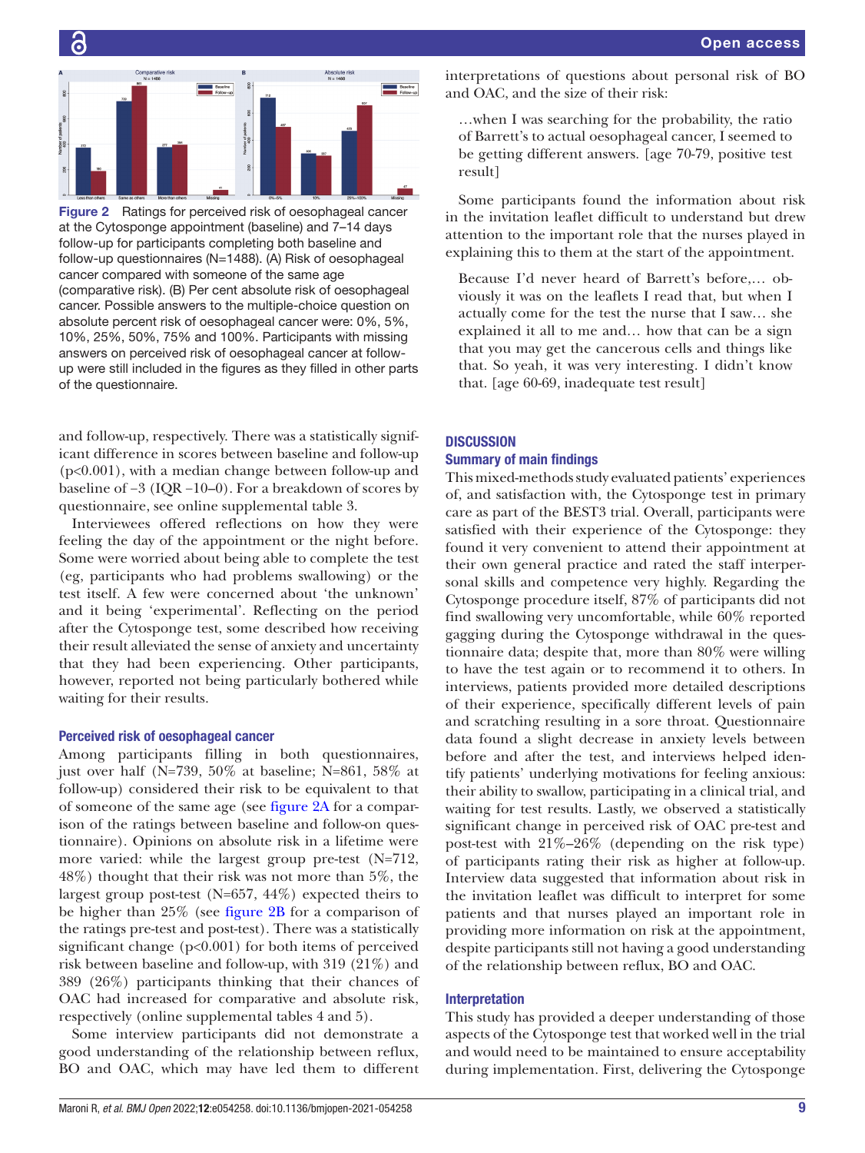

G

<span id="page-8-0"></span>Figure 2 Ratings for perceived risk of oesophageal cancer at the Cytosponge appointment (baseline) and 7–14 days follow-up for participants completing both baseline and follow-up questionnaires (N=1488). (A) Risk of oesophageal cancer compared with someone of the same age (comparative risk). (B) Per cent absolute risk of oesophageal cancer. Possible answers to the multiple-choice question on absolute percent risk of oesophageal cancer were: 0%, 5%, 10%, 25%, 50%, 75% and 100%. Participants with missing answers on perceived risk of oesophageal cancer at followup were still included in the figures as they filled in other parts of the questionnaire.

and follow-up, respectively. There was a statistically significant difference in scores between baseline and follow-up (p<0.001), with a median change between follow-up and baseline of −3 (IQR −10–0). For a breakdown of scores by questionnaire, see [online supplemental table 3.](https://dx.doi.org/10.1136/bmjopen-2021-054258)

Interviewees offered reflections on how they were feeling the day of the appointment or the night before. Some were worried about being able to complete the test (eg, participants who had problems swallowing) or the test itself. A few were concerned about 'the unknown' and it being 'experimental'. Reflecting on the period after the Cytosponge test, some described how receiving their result alleviated the sense of anxiety and uncertainty that they had been experiencing. Other participants, however, reported not being particularly bothered while waiting for their results.

## Perceived risk of oesophageal cancer

Among participants filling in both questionnaires, just over half (N=739, 50% at baseline; N=861, 58% at follow-up) considered their risk to be equivalent to that of someone of the same age (see [figure](#page-8-0) 2A for a comparison of the ratings between baseline and follow-on questionnaire). Opinions on absolute risk in a lifetime were more varied: while the largest group pre-test (N=712, 48%) thought that their risk was not more than 5%, the largest group post-test (N=657, 44%) expected theirs to be higher than 25% (see [figure](#page-8-0) 2B for a comparison of the ratings pre-test and post-test). There was a statistically significant change (p<0.001) for both items of perceived risk between baseline and follow-up, with 319 (21%) and 389 (26%) participants thinking that their chances of OAC had increased for comparative and absolute risk, respectively ([online supplemental tables 4 and 5](https://dx.doi.org/10.1136/bmjopen-2021-054258)).

Some interview participants did not demonstrate a good understanding of the relationship between reflux, BO and OAC, which may have led them to different interpretations of questions about personal risk of BO and OAC, and the size of their risk:

…when I was searching for the probability, the ratio of Barrett's to actual oesophageal cancer, I seemed to be getting different answers. [age 70-79, positive test result]

Some participants found the information about risk in the invitation leaflet difficult to understand but drew attention to the important role that the nurses played in explaining this to them at the start of the appointment.

Because I'd never heard of Barrett's before,… obviously it was on the leaflets I read that, but when I actually come for the test the nurse that I saw… she explained it all to me and… how that can be a sign that you may get the cancerous cells and things like that. So yeah, it was very interesting. I didn't know that. [age 60-69, inadequate test result]

## **DISCUSSION**

### Summary of main findings

This mixed-methods study evaluated patients' experiences of, and satisfaction with, the Cytosponge test in primary care as part of the BEST3 trial. Overall, participants were satisfied with their experience of the Cytosponge: they found it very convenient to attend their appointment at their own general practice and rated the staff interpersonal skills and competence very highly. Regarding the Cytosponge procedure itself, 87% of participants did not find swallowing very uncomfortable, while 60% reported gagging during the Cytosponge withdrawal in the questionnaire data; despite that, more than 80% were willing to have the test again or to recommend it to others. In interviews, patients provided more detailed descriptions of their experience, specifically different levels of pain and scratching resulting in a sore throat. Questionnaire data found a slight decrease in anxiety levels between before and after the test, and interviews helped identify patients' underlying motivations for feeling anxious: their ability to swallow, participating in a clinical trial, and waiting for test results. Lastly, we observed a statistically significant change in perceived risk of OAC pre-test and post-test with  $21\% - 26\%$  (depending on the risk type) of participants rating their risk as higher at follow-up. Interview data suggested that information about risk in the invitation leaflet was difficult to interpret for some patients and that nurses played an important role in providing more information on risk at the appointment, despite participants still not having a good understanding of the relationship between reflux, BO and OAC.

## Interpretation

This study has provided a deeper understanding of those aspects of the Cytosponge test that worked well in the trial and would need to be maintained to ensure acceptability during implementation. First, delivering the Cytosponge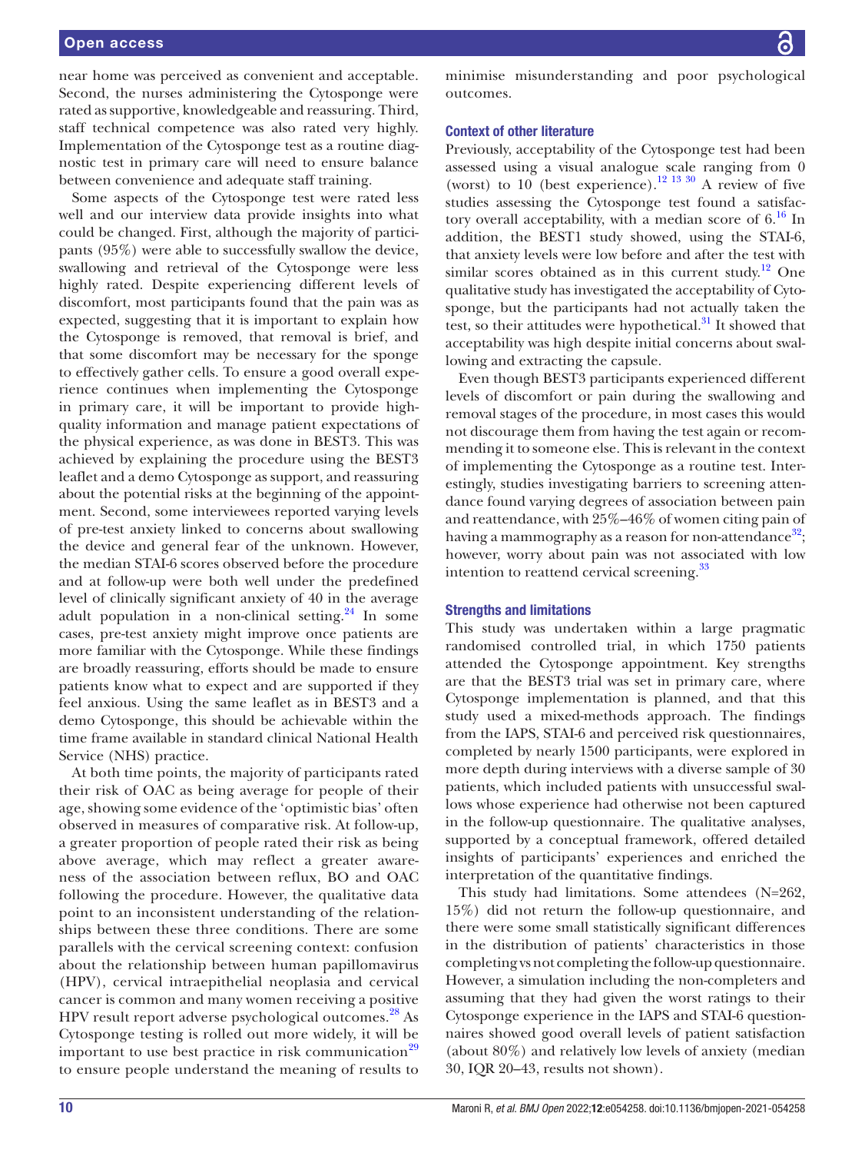## Open access

near home was perceived as convenient and acceptable. Second, the nurses administering the Cytosponge were rated as supportive, knowledgeable and reassuring. Third, staff technical competence was also rated very highly. Implementation of the Cytosponge test as a routine diagnostic test in primary care will need to ensure balance between convenience and adequate staff training.

Some aspects of the Cytosponge test were rated less well and our interview data provide insights into what could be changed. First, although the majority of participants (95%) were able to successfully swallow the device, swallowing and retrieval of the Cytosponge were less highly rated. Despite experiencing different levels of discomfort, most participants found that the pain was as expected, suggesting that it is important to explain how the Cytosponge is removed, that removal is brief, and that some discomfort may be necessary for the sponge to effectively gather cells. To ensure a good overall experience continues when implementing the Cytosponge in primary care, it will be important to provide highquality information and manage patient expectations of the physical experience, as was done in BEST3. This was achieved by explaining the procedure using the BEST3 leaflet and a demo Cytosponge as support, and reassuring about the potential risks at the beginning of the appointment. Second, some interviewees reported varying levels of pre-test anxiety linked to concerns about swallowing the device and general fear of the unknown. However, the median STAI-6 scores observed before the procedure and at follow-up were both well under the predefined level of clinically significant anxiety of 40 in the average adult population in a non-clinical setting. $24$  In some cases, pre-test anxiety might improve once patients are more familiar with the Cytosponge. While these findings are broadly reassuring, efforts should be made to ensure patients know what to expect and are supported if they feel anxious. Using the same leaflet as in BEST3 and a demo Cytosponge, this should be achievable within the time frame available in standard clinical National Health Service (NHS) practice.

At both time points, the majority of participants rated their risk of OAC as being average for people of their age, showing some evidence of the 'optimistic bias' often observed in measures of comparative risk. At follow-up, a greater proportion of people rated their risk as being above average, which may reflect a greater awareness of the association between reflux, BO and OAC following the procedure. However, the qualitative data point to an inconsistent understanding of the relationships between these three conditions. There are some parallels with the cervical screening context: confusion about the relationship between human papillomavirus (HPV), cervical intraepithelial neoplasia and cervical cancer is common and many women receiving a positive HPV result report adverse psychological outcomes.<sup>[28](#page-11-19)</sup> As Cytosponge testing is rolled out more widely, it will be important to use best practice in risk communication<sup>[29](#page-11-20)</sup> to ensure people understand the meaning of results to

minimise misunderstanding and poor psychological outcomes.

## Context of other literature

Previously, acceptability of the Cytosponge test had been assessed using a visual analogue scale ranging from 0 (worst) to  $10$  (best experience).<sup>[12 13 30](#page-11-6)</sup> A review of five studies assessing the Cytosponge test found a satisfactory overall acceptability, with a median score of  $6<sup>16</sup>$  $6<sup>16</sup>$  $6<sup>16</sup>$  In addition, the BEST1 study showed, using the STAI-6, that anxiety levels were low before and after the test with similar scores obtained as in this current study.<sup>12</sup> One qualitative study has investigated the acceptability of Cytosponge, but the participants had not actually taken the test, so their attitudes were hypothetical. $31$  It showed that acceptability was high despite initial concerns about swallowing and extracting the capsule.

Even though BEST3 participants experienced different levels of discomfort or pain during the swallowing and removal stages of the procedure, in most cases this would not discourage them from having the test again or recommending it to someone else. This is relevant in the context of implementing the Cytosponge as a routine test. Interestingly, studies investigating barriers to screening attendance found varying degrees of association between pain and reattendance, with 25%–46% of women citing pain of having a mammography as a reason for non-attendance<sup>[32](#page-11-23)</sup>; however, worry about pain was not associated with low intention to reattend cervical screening.<sup>[33](#page-11-24)</sup>

### Strengths and limitations

This study was undertaken within a large pragmatic randomised controlled trial, in which 1750 patients attended the Cytosponge appointment. Key strengths are that the BEST3 trial was set in primary care, where Cytosponge implementation is planned, and that this study used a mixed-methods approach. The findings from the IAPS, STAI-6 and perceived risk questionnaires, completed by nearly 1500 participants, were explored in more depth during interviews with a diverse sample of 30 patients, which included patients with unsuccessful swallows whose experience had otherwise not been captured in the follow-up questionnaire. The qualitative analyses, supported by a conceptual framework, offered detailed insights of participants' experiences and enriched the interpretation of the quantitative findings.

This study had limitations. Some attendees (N=262, 15%) did not return the follow-up questionnaire, and there were some small statistically significant differences in the distribution of patients' characteristics in those completing vs not completing the follow-up questionnaire. However, a simulation including the non-completers and assuming that they had given the worst ratings to their Cytosponge experience in the IAPS and STAI-6 questionnaires showed good overall levels of patient satisfaction (about 80%) and relatively low levels of anxiety (median 30, IQR 20–43, results not shown).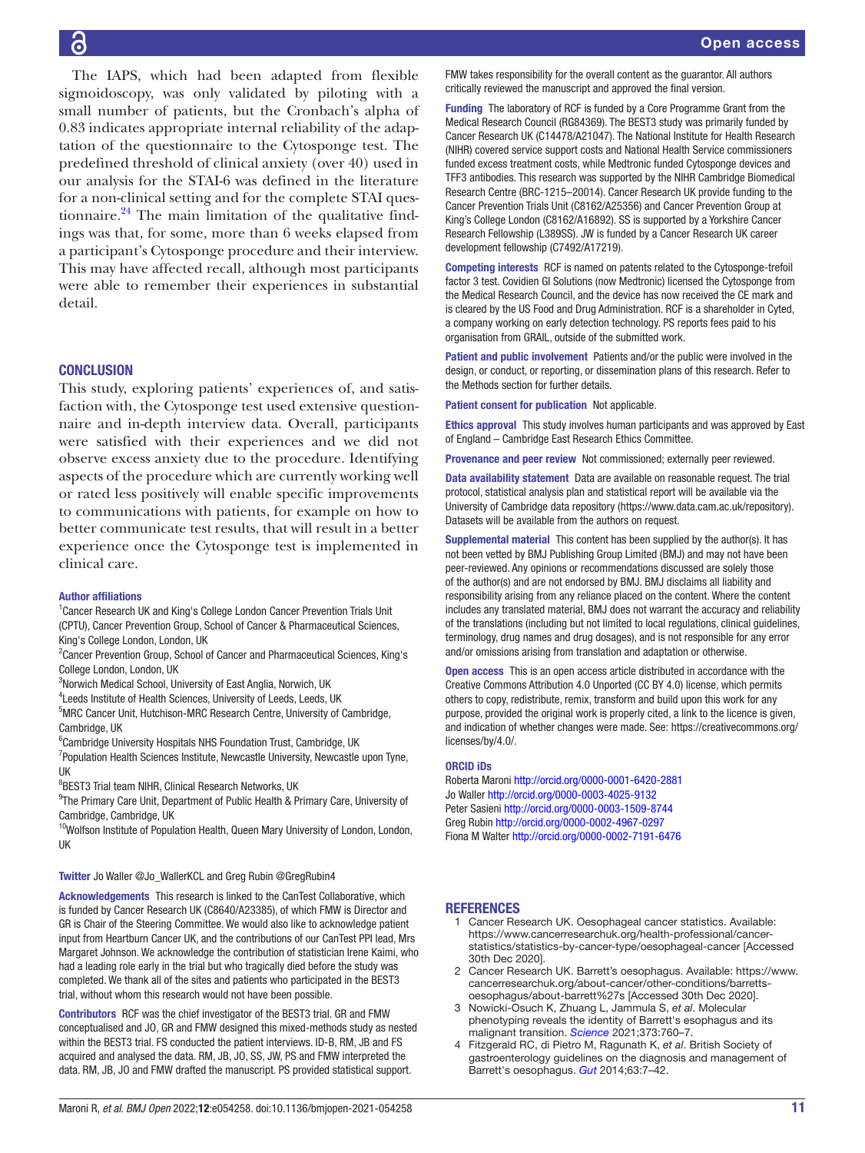The IAPS, which had been adapted from flexible sigmoidoscopy, was only validated by piloting with a small number of patients, but the Cronbach's alpha of 0.83 indicates appropriate internal reliability of the adaptation of the questionnaire to the Cytosponge test. The predefined threshold of clinical anxiety (over 40) used in our analysis for the STAI-6 was defined in the literature for a non-clinical setting and for the complete STAI questionnaire. $24$  The main limitation of the qualitative findings was that, for some, more than 6 weeks elapsed from a participant's Cytosponge procedure and their interview. This may have affected recall, although most participants were able to remember their experiences in substantial detail.

## **CONCLUSION**

This study, exploring patients' experiences of, and satisfaction with, the Cytosponge test used extensive questionnaire and in-depth interview data. Overall, participants were satisfied with their experiences and we did not observe excess anxiety due to the procedure. Identifying aspects of the procedure which are currently working well or rated less positively will enable specific improvements to communications with patients, for example on how to better communicate test results, that will result in a better experience once the Cytosponge test is implemented in clinical care.

## Author affiliations

<sup>1</sup> Cancer Research UK and King's College London Cancer Prevention Trials Unit (CPTU), Cancer Prevention Group, School of Cancer & Pharmaceutical Sciences, King's College London, London, UK

<sup>2</sup> Cancer Prevention Group, School of Cancer and Pharmaceutical Sciences, King's College London, London, UK

<sup>3</sup>Norwich Medical School, University of East Anglia, Norwich, UK

<sup>4</sup> Leeds Institute of Health Sciences, University of Leeds, Leeds, UK

<sup>5</sup>MRC Cancer Unit, Hutchison-MRC Research Centre, University of Cambridge, Cambridge, UK

<sup>6</sup>Cambridge University Hospitals NHS Foundation Trust, Cambridge, UK

<sup>7</sup> Population Health Sciences Institute, Newcastle University, Newcastle upon Tyne, UK

8 BEST3 Trial team NIHR, Clinical Research Networks, UK

<sup>9</sup>The Primary Care Unit, Department of Public Health & Primary Care, University of Cambridge, Cambridge, UK

<sup>10</sup>Wolfson Institute of Population Health, Queen Mary University of London, London, UK

#### Twitter Jo Waller [@Jo\\_WallerKCL](https://twitter.com/Jo_WallerKCL) and Greg Rubin [@GregRubin4](https://twitter.com/GregRubin4)

Acknowledgements This research is linked to the CanTest Collaborative, which is funded by Cancer Research UK (C8640/A23385), of which FMW is Director and GR is Chair of the Steering Committee. We would also like to acknowledge patient input from Heartburn Cancer UK, and the contributions of our CanTest PPI lead, Mrs Margaret Johnson. We acknowledge the contribution of statistician Irene Kaimi, who had a leading role early in the trial but who tragically died before the study was completed. We thank all of the sites and patients who participated in the BEST3 trial, without whom this research would not have been possible.

Contributors RCF was the chief investigator of the BEST3 trial. GR and FMW conceptualised and JO, GR and FMW designed this mixed-methods study as nested within the BEST3 trial. FS conducted the patient interviews. ID-B, RM, JB and FS acquired and analysed the data. RM, JB, JO, SS, JW, PS and FMW interpreted the data. RM, JB, JO and FMW drafted the manuscript. PS provided statistical support.

FMW takes responsibility for the overall content as the guarantor. All authors critically reviewed the manuscript and approved the final version.

Funding The laboratory of RCF is funded by a Core Programme Grant from the Medical Research Council (RG84369). The BEST3 study was primarily funded by Cancer Research UK (C14478/A21047). The National Institute for Health Research (NIHR) covered service support costs and National Health Service commissioners funded excess treatment costs, while Medtronic funded Cytosponge devices and TFF3 antibodies. This research was supported by the NIHR Cambridge Biomedical Research Centre (BRC-1215–20014). Cancer Research UK provide funding to the Cancer Prevention Trials Unit (C8162/A25356) and Cancer Prevention Group at King's College London (C8162/A16892). SS is supported by a Yorkshire Cancer Research Fellowship (L389SS). JW is funded by a Cancer Research UK career development fellowship (C7492/A17219).

Competing interests RCF is named on patents related to the Cytosponge-trefoil factor 3 test. Covidien GI Solutions (now Medtronic) licensed the Cytosponge from the Medical Research Council, and the device has now received the CE mark and is cleared by the US Food and Drug Administration. RCF is a shareholder in Cyted, a company working on early detection technology. PS reports fees paid to his organisation from GRAIL, outside of the submitted work.

Patient and public involvement Patients and/or the public were involved in the design, or conduct, or reporting, or dissemination plans of this research. Refer to the Methods section for further details.

Patient consent for publication Not applicable.

Ethics approval This study involves human participants and was approved by East of England – Cambridge East Research Ethics Committee.

Provenance and peer review Not commissioned; externally peer reviewed.

Data availability statement Data are available on reasonable request. The trial protocol, statistical analysis plan and statistical report will be available via the University of Cambridge data repository [\(https://www.data.cam.ac.uk/repository](https://www.data.cam.ac.uk/repository)). Datasets will be available from the authors on request.

Supplemental material This content has been supplied by the author(s). It has not been vetted by BMJ Publishing Group Limited (BMJ) and may not have been peer-reviewed. Any opinions or recommendations discussed are solely those of the author(s) and are not endorsed by BMJ. BMJ disclaims all liability and responsibility arising from any reliance placed on the content. Where the content includes any translated material, BMJ does not warrant the accuracy and reliability of the translations (including but not limited to local regulations, clinical guidelines, terminology, drug names and drug dosages), and is not responsible for any error and/or omissions arising from translation and adaptation or otherwise.

Open access This is an open access article distributed in accordance with the Creative Commons Attribution 4.0 Unported (CC BY 4.0) license, which permits others to copy, redistribute, remix, transform and build upon this work for any purpose, provided the original work is properly cited, a link to the licence is given, and indication of whether changes were made. See: [https://creativecommons.org/](https://creativecommons.org/licenses/by/4.0/) [licenses/by/4.0/](https://creativecommons.org/licenses/by/4.0/).

#### ORCID iDs

Roberta Maroni<http://orcid.org/0000-0001-6420-2881> Jo Waller<http://orcid.org/0000-0003-4025-9132> Peter Sasieni<http://orcid.org/0000-0003-1509-8744> Greg Rubin <http://orcid.org/0000-0002-4967-0297> Fiona M Walter <http://orcid.org/0000-0002-7191-6476>

#### REFERENCES

- <span id="page-10-0"></span>1 Cancer Research UK. Oesophageal cancer statistics. Available: [https://www.cancerresearchuk.org/health-professional/cancer](https://www.cancerresearchuk.org/health-professional/cancer-statistics/statistics-by-cancer-type/oesophageal-cancer)[statistics/statistics-by-cancer-type/oesophageal-cancer](https://www.cancerresearchuk.org/health-professional/cancer-statistics/statistics-by-cancer-type/oesophageal-cancer) [Accessed 30th Dec 2020].
- <span id="page-10-1"></span>2 Cancer Research UK. Barrett's oesophagus. Available: [https://www.](https://www.cancerresearchuk.org/about-cancer/other-conditions/barretts-oesophagus/about-barrett%27s) [cancerresearchuk.org/about-cancer/other-conditions/barretts](https://www.cancerresearchuk.org/about-cancer/other-conditions/barretts-oesophagus/about-barrett%27s)[oesophagus/about-barrett%27s](https://www.cancerresearchuk.org/about-cancer/other-conditions/barretts-oesophagus/about-barrett%27s) [Accessed 30th Dec 2020].
- 3 Nowicki-Osuch K, Zhuang L, Jammula S, *et al*. Molecular phenotyping reveals the identity of Barrett's esophagus and its malignant transition. *[Science](http://dx.doi.org/10.1126/science.abd1449)* 2021;373:760–7.
- <span id="page-10-2"></span>4 Fitzgerald RC, di Pietro M, Ragunath K, *et al*. British Society of gastroenterology guidelines on the diagnosis and management of Barrett's oesophagus. *[Gut](http://dx.doi.org/10.1136/gutjnl-2013-305372)* 2014;63:7–42.